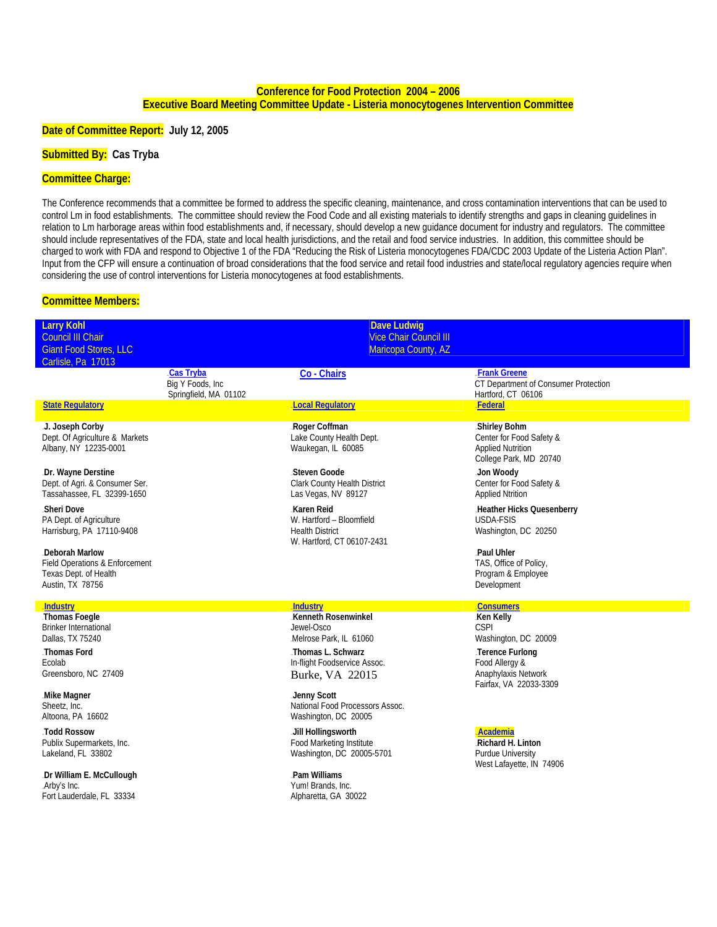## **Conference for Food Protection 2004 – 2006 Executive Board Meeting Committee Update - Listeria monocytogenes Intervention Committee**

#### **Date of Committee Report: July 12, 2005**

## **Submitted By: Cas Tryba**

### **Committee Charge:**

The Conference recommends that a committee be formed to address the specific cleaning, maintenance, and cross contamination interventions that can be used to control Lm in food establishments. The committee should review the Food Code and all existing materials to identify strengths and gaps in cleaning guidelines in relation to Lm harborage areas within food establishments and, if necessary, should develop a new guidance document for industry and regulators. The committee should include representatives of the FDA, state and local health jurisdictions, and the retail and food service industries. In addition, this committee should be charged to work with FDA and respond to Objective 1 of the FDA "Reducing the Risk of Listeria monocytogenes FDA/CDC 2003 Update of the Listeria Action Plan". Input from the CFP will ensure a continuation of broad considerations that the food service and retail food industries and state/local regulatory agencies require when considering the use of control interventions for Listeria monocytogenes at food establishments.

#### **Committee Members:**

| <b>Larry Kohl</b><br>Council III Chair<br><b>Giant Food Stores, LLC</b><br>Carlisle, Pa 17013                      |                                                               | <b>Dave Ludwig</b><br><b>Vice Chair Council III</b><br>Maricopa County, AZ                                                          |                                                                                                                                        |
|--------------------------------------------------------------------------------------------------------------------|---------------------------------------------------------------|-------------------------------------------------------------------------------------------------------------------------------------|----------------------------------------------------------------------------------------------------------------------------------------|
|                                                                                                                    | <b>Cas Tryba</b><br>Big Y Foods, Inc<br>Springfield, MA 01102 | Co - Chairs                                                                                                                         | <b>Frank Greene</b><br>CT Department of Consumer Protection<br>Hartford, CT 06106                                                      |
| <b>State Requiatory</b>                                                                                            |                                                               | <b>Local Regulatory</b>                                                                                                             | Federal                                                                                                                                |
| J. Joseph Corby<br>Dept. Of Agriculture & Markets<br>Albany, NY 12235-0001                                         |                                                               | .Roger Coffman<br>Lake County Health Dept.<br>Waukegan, IL 60085                                                                    | .Shirley Bohm<br>Center for Food Safety &<br><b>Applied Nutrition</b><br>College Park, MD 20740                                        |
| .Dr. Wayne Derstine<br>Dept. of Agri. & Consumer Ser.<br>Tassahassee, FL 32399-1650                                |                                                               | Steven Goode<br>Clark County Health District<br>Las Vegas, NV 89127                                                                 | Jon Woody<br>Center for Food Safety &<br><b>Applied Ntrition</b>                                                                       |
| Sheri Dove<br>PA Dept. of Agriculture<br>Harrisburg, PA 17110-9408                                                 |                                                               | Karen Reid<br>W. Hartford - Bloomfield<br><b>Health District</b><br>W. Hartford, CT 06107-2431                                      | Heather Hicks Quesenberry<br>USDA-FSIS<br>Washington, DC 20250                                                                         |
| Deborah Marlow<br>Field Operations & Enforcement<br>Texas Dept. of Health<br>Austin, TX 78756                      |                                                               |                                                                                                                                     | Paul Uhler<br>TAS, Office of Policy,<br>Program & Employee<br>Development                                                              |
| <b>Industry</b>                                                                                                    |                                                               | <b>Industry</b>                                                                                                                     | <b>Consumers</b>                                                                                                                       |
| Thomas Foegle<br><b>Brinker International</b><br>Dallas, TX 75240<br>Thomas Ford<br>Ecolab<br>Greensboro, NC 27409 |                                                               | Kenneth Rosenwinkel<br>Jewel-Osco<br>Melrose Park, IL 61060<br>Thomas L. Schwarz<br>In-flight Foodservice Assoc.<br>Burke, VA 22015 | Ken Kelly<br><b>CSPI</b><br>Washington, DC 20009<br>Terence Furlong<br>Food Allergy &<br>Anaphylaxis Network<br>Fairfax, VA 22033-3309 |
| Mike Magner<br>Sheetz, Inc.<br>Altoona, PA 16602                                                                   |                                                               | Jenny Scott<br>National Food Processors Assoc.<br>Washington, DC 20005                                                              |                                                                                                                                        |
| Todd Rossow<br>Publix Supermarkets, Inc.<br>Lakeland, FL 33802                                                     |                                                               | Jill Hollingsworth<br>Food Marketing Institute<br>Washington, DC 20005-5701                                                         | Academia<br>.Richard H. Linton<br>Purdue University<br>West Lafayette, IN 74906                                                        |
| .Dr William E. McCullough<br>.Arby's Inc.<br>Fort Lauderdale, FL 33334                                             |                                                               | Pam Williams<br>Yum! Brands, Inc.<br>Alpharetta, GA 30022                                                                           |                                                                                                                                        |
|                                                                                                                    |                                                               |                                                                                                                                     |                                                                                                                                        |